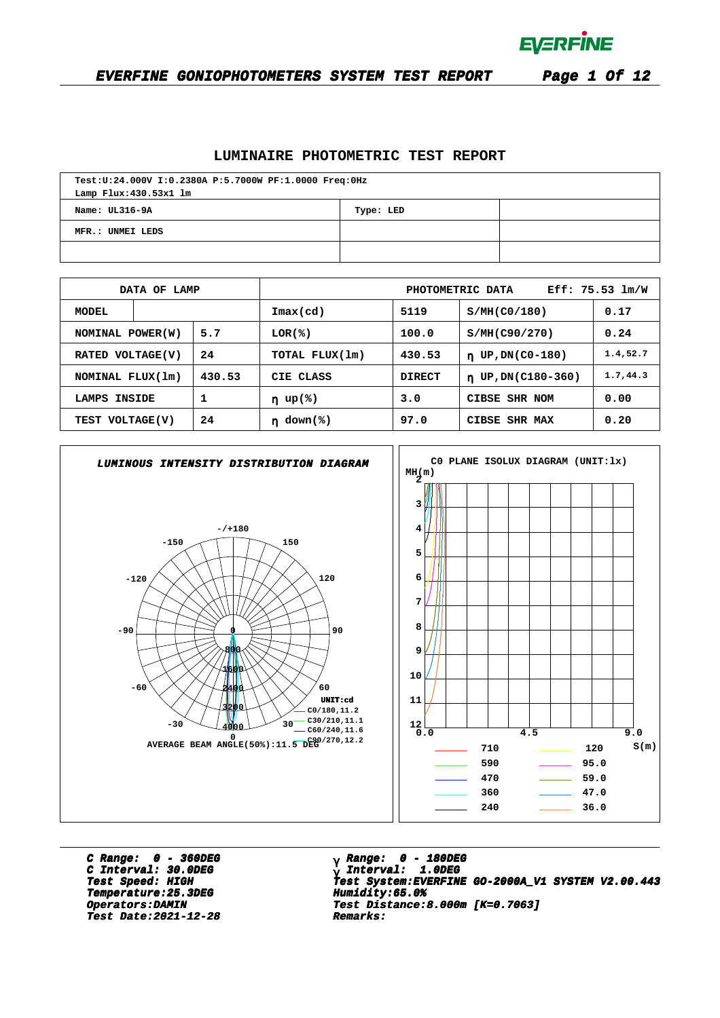

#### **EVERFINE GONIOPHOTOMETERS SYSTEM TEST REPORT Page 1 Of 12**

## **LUMINAIRE PHOTOMETRIC TEST REPORT**

| Test:U:24.000V I:0.2380A P:5.7000W PF:1.0000 Freq:0Hz |  |  |  |  |  |  |  |  |  |
|-------------------------------------------------------|--|--|--|--|--|--|--|--|--|
| Lamp Flux: 430.53x1 lm                                |  |  |  |  |  |  |  |  |  |
| Name: UL316-9A<br>Type: LED                           |  |  |  |  |  |  |  |  |  |
| MFR.: UNMEI LEDS                                      |  |  |  |  |  |  |  |  |  |
|                                                       |  |  |  |  |  |  |  |  |  |

|                       | DATA OF LAMP             |            | $Eff: 75.53 \, lm/W$<br>PHOTOMETRIC DATA |                         |                               |           |  |  |  |  |
|-----------------------|--------------------------|------------|------------------------------------------|-------------------------|-------------------------------|-----------|--|--|--|--|
| <b>MODEL</b>          |                          |            | $\texttt{Imax}(\text{cd})$               | 5119                    | S/MH(C0/180)                  | 0.17      |  |  |  |  |
|                       | 5.7<br>NOMINAL POWER (W) |            | $LOR(\mathcal{L})$                       | 100.0                   | S/MH(C90/270)                 | 0.24      |  |  |  |  |
|                       | 24<br>RATED VOLTAGE(V)   |            | TOTAL FLUX(1m)<br>430.53                 |                         | UP, DN(C0-180)<br>$\mathbf n$ | 1.4, 52.7 |  |  |  |  |
| NOMINAL FLUX(1m)      |                          | 430.53     | CIE CLASS                                | <b>DIRECT</b>           | $n$ UP, DN(C180-360)          | 1.7, 44.3 |  |  |  |  |
| LAMPS INSIDE          |                          | 1          | $\eta$ up(%)                             | 3.0                     | CIBSE SHR NOM                 | 0.00      |  |  |  |  |
| 24<br>TEST VOLTAGE(V) |                          | $down$ (%) | 97.0                                     | CIBSE<br><b>SHR MAX</b> | 0.20                          |           |  |  |  |  |



**C Range: 0 - 360DEG C Interval: 30.0DEG Temperature:25.3DEG Humidity:65.0% Temperature:25.3DEG Humidity:65.0% Test Date:2021-12-28 Remarks: Date:2021-12-28 Remarks:**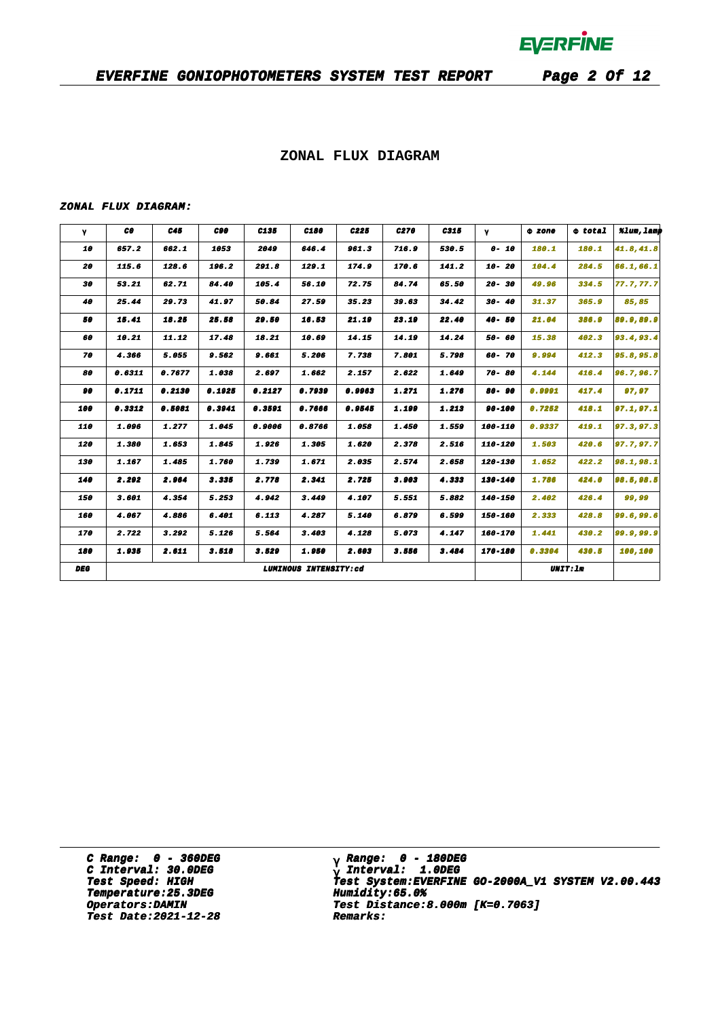### **EVERFINE GONIOPHOTOMETERS SYSTEM TEST REPORT Page 2 Of 12**

### **ZONAL FLUX DIAGRAM**

#### **ZONAL FLUX DIAGRAM:**

| γ          | CO.    | C45    | C90    | C135   | C180                  | C225   | C270  | C315  | $\gamma$  | 0 zone | $\Phi$ total    | %lum, lamp |
|------------|--------|--------|--------|--------|-----------------------|--------|-------|-------|-----------|--------|-----------------|------------|
| 10         | 657.2  | 662.1  | 1053   | 2049   | 646.4                 | 961.3  | 716.9 | 530.5 | $0 - 10$  | 180.1  | 180.1           | 41.8,41.8  |
| 20         | 115.6  | 128.6  | 196.2  | 291.8  | 129.1                 | 174.9  | 170.6 | 141.2 | $10 - 20$ | 104.4  | 284.5           | 66.1,66.1  |
| 30         | 53.21  | 62.71  | 84.40  | 105.4  | 56.10                 | 72.75  | 84.74 | 65.50 | $20 - 30$ | 49.96  | 334.5           | 77.7,77.7  |
| 40         | 25.44  | 29.73  | 41.97  | 50.84  | 27.59                 | 35.23  | 39.63 | 34.42 | $30 - 40$ | 31.37  | 365.9           | 85,85      |
| 50         | 15.41  | 18.25  | 25.58  | 29.50  | 16.53                 | 21.19  | 23.19 | 22.40 | $40 - 50$ | 21.04  | 386.9           | 89.9,89.9  |
| 60         | 10.21  | 11.12  | 17.48  | 18.21  | 10.69                 | 14.15  | 14.19 | 14.24 | 50- 60    | 15.38  | 402.3           | 93.4, 93.4 |
| 70         | 4.366  | 5.055  | 9.562  | 9.661  | 5.206                 | 7.738  | 7.801 | 5.798 | 60-70     | 9.994  | 412.3           | 95.8,95.8  |
| 80         | 0.6311 | 0.7677 | 1.038  | 2.697  | 1.662                 | 2.157  | 2.622 | 1.649 | $70 - 80$ | 4.144  | 416.4           | 96.7,96.7  |
| 90         | 0.1711 | 0.2130 | 0.1925 | 0.2127 | 0.7939                | 0.9963 | 1.271 | 1.276 | 80-90     | 0.9991 | 417.4           | 97,97      |
| 100        | 0.3312 | 0.5081 | 0.3941 | 0.3591 | 0.7666                | 0.9545 | 1.199 | 1.213 | 90-100    | 0.7252 | 418.1           | 97.1, 97.1 |
| 110        | 1.096  | 1.277  | 1.045  | 0.9006 | 0.8766                | 1.058  | 1.450 | 1.559 | 100-110   | 0.9337 | 419.1           | 97.3,97.3  |
| 120        | 1.380  | 1.653  | 1.845  | 1.926  | 1.305                 | 1.620  | 2.378 | 2.516 | 110-120   | 1.503  | 420.6           | 97.7,97.7  |
| 130        | 1.167  | 1.485  | 1.760  | 1.739  | 1.671                 | 2.035  | 2.574 | 2.658 | 120-130   | 1.652  | 422.2           | 98.1,98.1  |
| 140        | 2.292  | 2.964  | 3.335  | 2.778  | 2.341                 | 2.725  | 3.903 | 4.333 | 130-140   | 1.786  | 424.0           | 98.5,98.5  |
| 150        | 3.601  | 4.354  | 5.253  | 4.942  | 3.449                 | 4.107  | 5.551 | 5.882 | 140-150   | 2.402  | 426.4           | 99,99      |
| 160        | 4.067  | 4.886  | 6.401  | 6.113  | 4.287                 | 5.140  | 6.879 | 6.599 | 150-160   | 2.333  | 428.8           | 99.6,99.6  |
| 170        | 2.722  | 3.292  | 5.126  | 5.564  | 3.403                 | 4.128  | 5.073 | 4.147 | 160-170   | 1.441  | 430.2           | 99.9,99.9  |
| 180        | 1.935  | 2.611  | 3.518  | 3.529  | 1.950                 | 2.603  | 3.556 | 3.484 | 170-180   | 0.3304 | 430.5           | 100,100    |
| <b>DEG</b> |        |        |        |        | LUMINOUS INTENSITY:cd |        |       |       |           |        | <b>UNIT: 1m</b> |            |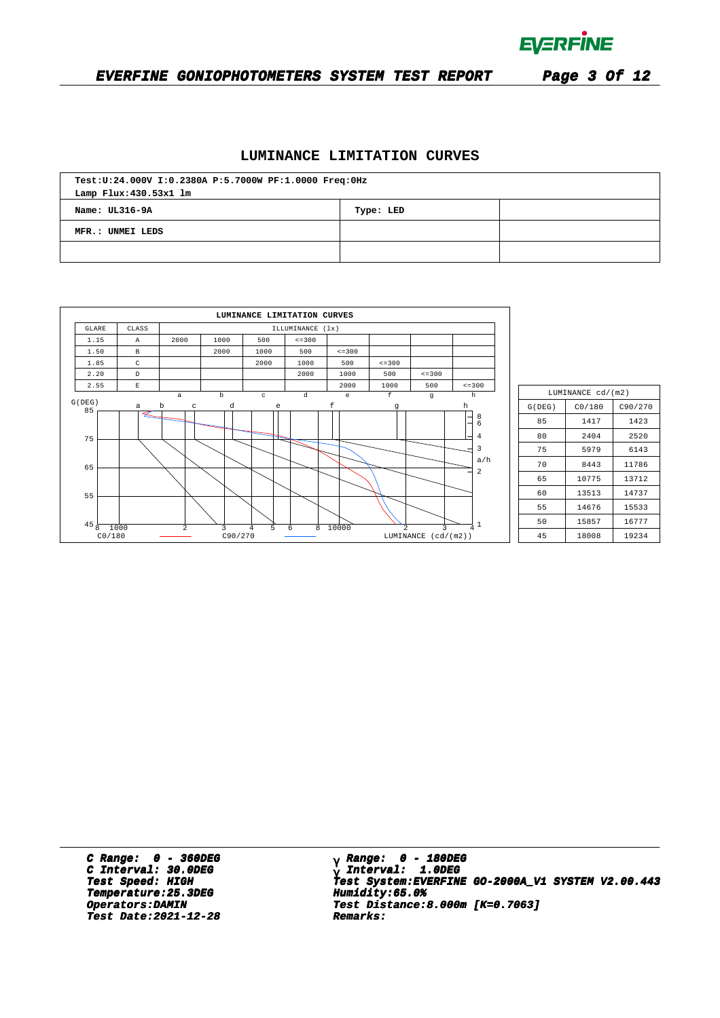

## **EVERFINE GONIOPHOTOMETERS SYSTEM TEST REPORT Page 3 Of 12**

### **LUMINANCE LIMITATION CURVES**

| Test:U:24.000V I:0.2380A P:5.7000W PF:1.0000 Freq:0Hz |  |  |  |  |  |  |  |  |  |
|-------------------------------------------------------|--|--|--|--|--|--|--|--|--|
| Lamp Flux: 430.53x1 lm                                |  |  |  |  |  |  |  |  |  |
| Name: UL316-9A<br>Type: LED                           |  |  |  |  |  |  |  |  |  |
| MFR.: UNMEI LEDS                                      |  |  |  |  |  |  |  |  |  |
|                                                       |  |  |  |  |  |  |  |  |  |

|                   |                       |                |              | LUMINANCE LIMITATION CURVES |                  |              |                |                          |                         |
|-------------------|-----------------------|----------------|--------------|-----------------------------|------------------|--------------|----------------|--------------------------|-------------------------|
| <b>GLARE</b>      | CLASS                 |                |              |                             | ILLUMINANCE (1x) |              |                |                          |                         |
| 1.15              | $\mathbb{A}$          | 2000           | 1000         | 500                         | $\leq$ = 300     |              |                |                          |                         |
| 1.50              | $\,$ B                |                | 2000         | 1000                        | 500              | $\leq$ = 300 |                |                          |                         |
| 1.85              | C                     |                |              | 2000                        | 1000             | 500          | $\leq$ = 300   |                          |                         |
| 2.20              | $\mathbb D$           |                |              |                             | 2000             | 1000         | 500            | $\leq$ = 300             |                         |
| 2.55              | $\mathop{}\mathbb{E}$ |                |              |                             |                  | 2000         | 1000           | 500                      | $\leq$ = 300            |
| G(DEG)            |                       | $\mathsf{a}$   | $\mathbf b$  | $\rm ^c$                    | $\mathbf d$      | $\epsilon$   | $\mathbf f$    | $\mathfrak g$            | $\mathbf h$             |
| 85                | a                     | $\,$ b<br>C    | d            | e                           |                  | f            | g              |                          | h                       |
| 75<br>65          |                       |                |              |                             |                  |              |                |                          | 8<br>6<br>4<br>3<br>a/h |
| 55                |                       |                |              |                             |                  |              |                |                          | 2                       |
| 45<br>8<br>CO/180 | 1000                  | $\overline{a}$ | 3<br>C90/270 | 5<br>$\overline{4}$         | 8<br>6           | 10000        | $\mathfrak{D}$ | 3<br>LUMINANCE (cd/(m2)) | 4                       |

| LUMINANCE cd/(m2) |        |         |  |  |  |  |  |  |  |  |
|-------------------|--------|---------|--|--|--|--|--|--|--|--|
| G(DEG)            | CO/180 | C90/270 |  |  |  |  |  |  |  |  |
| 85                | 1417   | 1423    |  |  |  |  |  |  |  |  |
| 80                | 2404   | 2520    |  |  |  |  |  |  |  |  |
| 75                | 5979   | 6143    |  |  |  |  |  |  |  |  |
| 70                | 8443   | 11786   |  |  |  |  |  |  |  |  |
| 65                | 10775  | 13712   |  |  |  |  |  |  |  |  |
| 60                | 13513  | 14737   |  |  |  |  |  |  |  |  |
| 55                | 14676  | 15533   |  |  |  |  |  |  |  |  |
| 50                | 15857  | 16777   |  |  |  |  |  |  |  |  |
| 45                | 18008  | 19234   |  |  |  |  |  |  |  |  |

**C Range: 0 - 360DEG** C Interval: 30.0DEG<br> **C Interval: 30.0DEG**<br> **Test Speed: HIGH Temperature:25.3DEG Humidity:65.0% Temperature:25.3DEG Humidity:65.0% Test Date:2021-12-28 Remarks: Date:2021-12-28 Remarks:**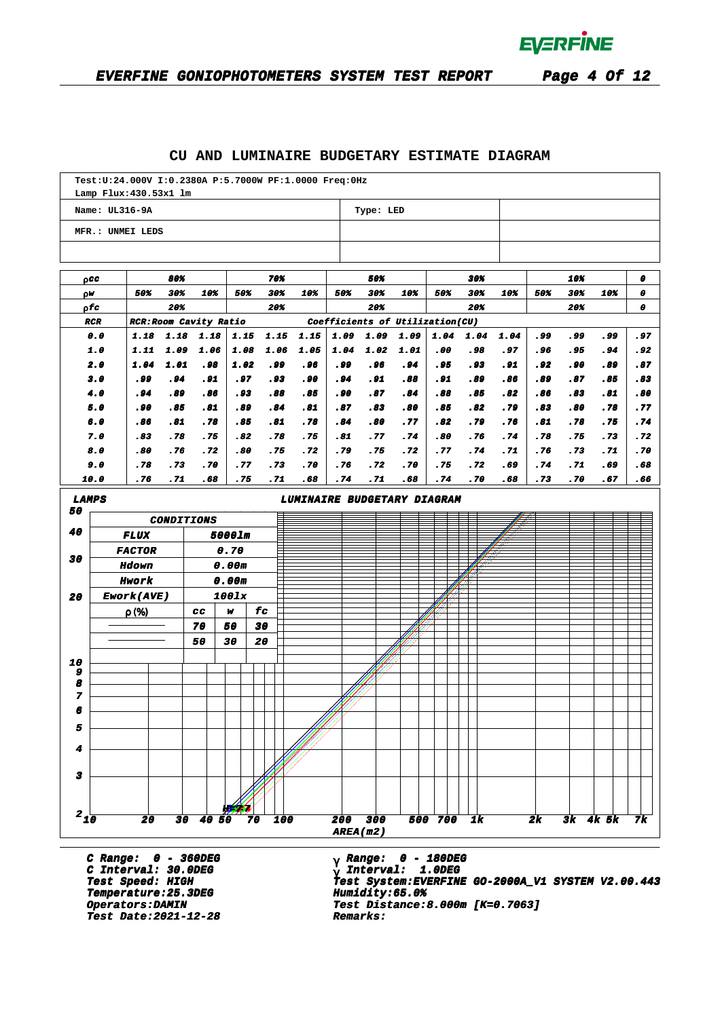### **CU AND LUMINAIRE BUDGETARY ESTIMATE DIAGRAM**

|                    |                | Lamp Flux: 430.53x1 lm        |                   |              |                |              |              | Test: U: 24.000V I: 0.2380A P: 5.7000W PF: 1.0000 Freq: 0Hz |                                 |              |              |             |             |             |              |             |            |              |
|--------------------|----------------|-------------------------------|-------------------|--------------|----------------|--------------|--------------|-------------------------------------------------------------|---------------------------------|--------------|--------------|-------------|-------------|-------------|--------------|-------------|------------|--------------|
|                    | Name: UL316-9A |                               |                   |              |                |              |              |                                                             |                                 | Type: LED    |              |             |             |             |              |             |            |              |
|                    |                | MFR.: UNMEI LEDS              |                   |              |                |              |              |                                                             |                                 |              |              |             |             |             |              |             |            |              |
|                    | paa            |                               | 80%               |              |                |              | 70%          |                                                             |                                 | 50%          |              |             | 30%         |             |              | 10%         |            | 0            |
| ρW                 |                | 50%                           | 30%               | 10%          |                | 50%          | 30%          | 10%                                                         | 50%                             | 30%          | 10%          | 50%         | 30%         | 10%         | 50%          | 30%         | 10%        | 0            |
|                    | 0 fc           |                               | 20%               |              |                |              | 20%          |                                                             |                                 | 20%          |              |             | 20%         |             |              | 20%         |            | 0            |
|                    | <b>RCR</b>     | <b>RCR: Room Cavity Ratio</b> |                   |              |                |              |              |                                                             | Coefficients of Utilization(CU) |              |              |             |             |             |              |             |            |              |
|                    | 0.0<br>1.0     | 1.18<br>1.11                  | 1.18<br>1.09      | 1.18<br>1.06 |                | 1.15<br>1.08 | 1.15<br>1.06 | 1.15<br>1.05                                                | 1.09<br>1.04                    | 1.09<br>1.02 | 1.09<br>1.01 | 1.04<br>.00 | 1.04<br>.98 | 1.04<br>.97 | . 99<br>. 96 | .99<br>. 95 | وو.<br>.94 | . 97<br>. 92 |
|                    | 2.0            | 1.04                          | 1.01              | . 98         |                | 1.02         | وو.          | .96                                                         | وو.                             | . 96         | . 94         | . 95        | .93         | . 91        | . 92         | .90         | .89        | .87          |
|                    | 3.0            | . 99                          | . 94              | . 91         |                | . 97         | .93          | .90                                                         | .94                             | .91          | .88          | . 91        | .89         | .86         | .89          | .87         | .85        | .83          |
|                    | 4.0            | .94                           | .89               | .86          |                | . 93         | .88          | .85                                                         | .90                             | .87          | .84          | .88         | .85         | .82         | .86          | .83         | .81        | .80          |
|                    | 5.0            | . 90                          | .85               | .81          |                | .89          | .84          | .81                                                         | .87                             | .83          | .80          | .85         | .82         | .79         | .83          | .80         | .78        | .77          |
|                    | 6.0            | .86                           | .81               | .78          |                | .85          | .81          | .78                                                         | .84                             | .80          | .77          | .82         | .79         | .76         | .81          | .78         | .75        | .74          |
|                    | 7.0            | .83                           | .78               | .75          |                | .82          | .78          | .75                                                         | .81                             | .77          | .74          | .80         | .76         | .74         | .78          | .75         | .73        | .72          |
|                    | 8.0            | .80                           | .76               | .72          |                | .80          | .75          | .72                                                         | .79                             | .75          | .72          | .77         | .74         | .71         | .76          | .73         | .71        | .70          |
|                    | 9.0<br>10.0    | .78<br>.76                    | .73<br>.71        | .70<br>.68   |                | .77<br>.75   | .73<br>.71   | .70<br>.68                                                  | .76<br>.74                      | .72<br>.71   | .70<br>.68   | .75<br>.74  | .72<br>.70  | .69<br>.68  | .74<br>.73   | .71<br>.70  | .69<br>.67 | .68<br>.66   |
|                    |                |                               |                   |              |                |              |              |                                                             |                                 |              |              |             |             |             |              |             |            |              |
| <b>LAMPS</b><br>50 |                |                               |                   |              |                |              |              | LUMINAIRE BUDGETARY DIAGRAM                                 |                                 |              |              |             |             |             |              |             |            |              |
|                    |                |                               | <b>CONDITIONS</b> |              |                |              |              |                                                             |                                 |              |              |             |             |             |              |             |            |              |
| 40                 |                | <i><b>FLUX</b></i>            |                   |              | 5000lm         |              | ▤            |                                                             |                                 |              |              |             |             |             |              |             |            |              |
| 30                 |                | <b>FACTOR</b>                 |                   |              | 0.70           |              |              |                                                             |                                 |              |              |             |             |             |              |             |            |              |
|                    |                | <b>Hdown</b><br>Hwork         |                   |              | 0.00m<br>0.00m |              |              |                                                             |                                 |              |              |             |             |             |              |             |            |              |
| 20                 |                | Ework(AVE)                    |                   |              | 1001x          |              |              |                                                             |                                 |              |              |             |             |             |              |             |            |              |
|                    |                | $\rho(\%)$                    |                   | CC.          | w              |              | £с           |                                                             |                                 |              |              |             |             |             |              |             |            |              |
|                    |                |                               |                   | 70           | 50             |              | 30           |                                                             |                                 |              |              |             |             |             |              |             |            |              |
|                    |                |                               |                   | 50           | 30             | 20           |              |                                                             |                                 |              |              |             |             |             |              |             |            |              |
| 10                 |                |                               |                   |              |                |              |              |                                                             |                                 |              |              |             |             |             |              |             |            |              |
| 9                  |                |                               |                   |              |                |              |              |                                                             |                                 |              |              |             |             |             |              |             |            |              |
| 8<br>7             |                |                               |                   |              |                |              |              |                                                             |                                 |              |              |             |             |             |              |             |            |              |
| 6                  |                |                               |                   |              |                |              |              |                                                             |                                 |              |              |             |             |             |              |             |            |              |
| 5                  |                |                               |                   |              |                |              |              |                                                             |                                 |              |              |             |             |             |              |             |            |              |
| 4                  |                |                               |                   |              |                |              |              |                                                             |                                 |              |              |             |             |             |              |             |            |              |
|                    |                |                               |                   |              |                |              |              |                                                             |                                 |              |              |             |             |             |              |             |            |              |
| 3                  |                |                               |                   |              |                |              |              |                                                             |                                 |              |              |             |             |             |              |             |            |              |
|                    |                |                               |                   |              |                |              |              |                                                             |                                 |              |              |             |             |             |              |             |            |              |
| $2_{10}$           |                | 20                            |                   | 30 40 50     |                | 70           | 100          |                                                             | 200                             | 300          |              | 500 700     | 1k          |             | 2k           |             | 3k 4k 5k   | 7k           |
|                    |                |                               |                   |              |                |              |              |                                                             | AREA(m2)                        |              |              |             |             |             |              |             |            |              |
|                    |                |                               |                   |              |                |              |              |                                                             |                                 |              |              |             |             |             |              |             |            |              |

**C Range: 0 - 360DEG C Interval: 30.0DEG Temperature:25.3DEG Humidity:65.0% Temperature:25.3DEG Humidity:65.0% Test Date:2021-12-28 Remarks: Date:2021-12-28 Remarks:**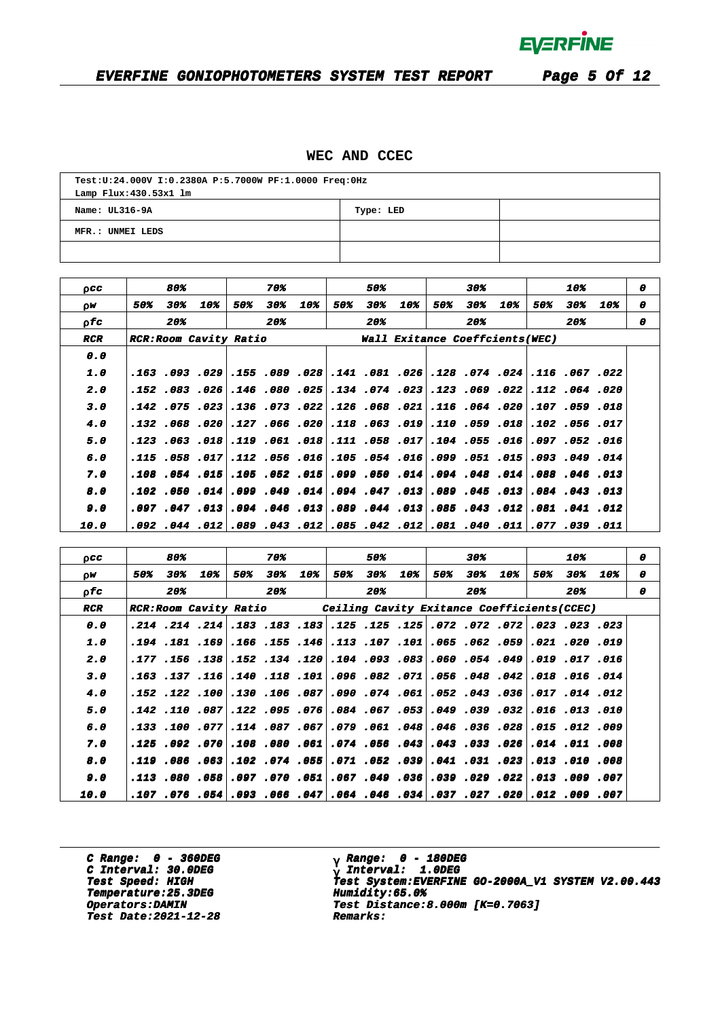### **EVERFINE GONIOPHOTOMETERS SYSTEM TEST REPORT Page 5 Of 12**

### **WEC AND CCEC**

| Test:U:24.000V I:0.2380A P:5.7000W PF:1.0000 Freq:0Hz |  |  |  |  |  |  |  |  |  |
|-------------------------------------------------------|--|--|--|--|--|--|--|--|--|
| Lamp Flux: 430.53x1 lm                                |  |  |  |  |  |  |  |  |  |
| Name: UL316-9A<br>Type: LED                           |  |  |  |  |  |  |  |  |  |
| MFR.: UNMEI LEDS                                      |  |  |  |  |  |  |  |  |  |
|                                                       |  |  |  |  |  |  |  |  |  |

| 0CC                |     | 80% |                                                                               |     | 70% |                      |     | 50% |                                                   |     | 30% |     |     | 10% |     | 0 |
|--------------------|-----|-----|-------------------------------------------------------------------------------|-----|-----|----------------------|-----|-----|---------------------------------------------------|-----|-----|-----|-----|-----|-----|---|
| ΩW                 | 50% | 30% | 10%                                                                           | 50% | 30% | 10%                  | 50% | 30% | 10%                                               | 50% | 30% | 10% | 50% | 30% | 10% | o |
| 0 fc               |     | 20% |                                                                               |     | 20% |                      |     | 20% |                                                   |     | 20% |     |     | 20% |     | 0 |
| <b>RCR</b>         |     |     | <b>RCR:ROOM Cavity Ratio</b>                                                  |     |     |                      |     |     | Wall Exitance Coeffcients(WEC)                    |     |     |     |     |     |     |   |
| 0.0                |     |     |                                                                               |     |     |                      |     |     |                                                   |     |     |     |     |     |     |   |
| 1.0                |     |     | 022. 067. 116. 202. 274. 28 128. 205. 141. 28 169. 155. 29 103 103            |     |     |                      |     |     |                                                   |     |     |     |     |     |     |   |
| 2.0                |     |     | .152 .083 .026                                                                |     |     | .146 .080 .025       |     |     | .134 .074 .023 .123 .069 .022 .112 .064 .020      |     |     |     |     |     |     |   |
| 3.0                |     |     | 018. 059. 107.  200. 064. 116.  201. 068. 126. 022. 170. 136. 023. 107. 142.  |     |     |                      |     |     |                                                   |     |     |     |     |     |     |   |
| 4.0                |     |     | 017. 056. 012. 188. 059. 110. 102. 063. 118. 020. 066. 127. 020. 068. 132.    |     |     |                      |     |     |                                                   |     |     |     |     |     |     |   |
| 5.0                |     |     | 016. 052. 097. 059. 055. 014. 057. 058. 111. 058. 017. 051. 053. 053. 123.    |     |     |                      |     |     |                                                   |     |     |     |     |     |     |   |
| 6.0                |     |     | $.115$ .058 .017                                                              |     |     | .112 .056 .016       |     |     | .105 049 016 099 051 015 015. 093 049 014         |     |     |     |     |     |     |   |
| 7.0                |     |     | $.108$ $.054$ $.015$                                                          |     |     | .105 .052 .015       |     |     | 013. 046. 088. 014. 048. 094. 099. 050. 050. 099. |     |     |     |     |     |     |   |
| 8.0                |     |     | 102, 049, 099, 104, 050, 102,                                                 |     |     |                      |     |     | $.094$ .047. 120. $045$ .045. $013$ .084. 043.    |     |     |     |     |     |     |   |
| 9.0                |     |     | $.097$ $.047$ $.013$                                                          |     |     | $.094$ $.046$ $.013$ |     |     | 012. 041. 043. 012. 043. 045. 051. 044. 049.      |     |     |     |     |     |     |   |
| <i><b>10.0</b></i> |     |     | 011. 039. 777. 110. 040. 081. 102. 042. 055. 110. 043. 089. 202. 10. 044 092. |     |     |                      |     |     |                                                   |     |     |     |     |     |     |   |

| 0 C C      |     | 80% |     |     | 70% |     |     | 50% |     |     | 30% |     |                                                                                   | 10% |                                                                                | o |
|------------|-----|-----|-----|-----|-----|-----|-----|-----|-----|-----|-----|-----|-----------------------------------------------------------------------------------|-----|--------------------------------------------------------------------------------|---|
| 0W         | 50% | 30% | 10% | 50% | 30% | 10% | 50% | 30% | 10% | 50% | 30% | 10% | 50%                                                                               | 30% | 10%                                                                            | o |
| 0 fc       |     | 20% |     |     | 20% |     |     | 20% |     |     | 20% |     |                                                                                   | 20% |                                                                                | o |
| <b>RCR</b> |     |     |     |     |     |     |     |     |     |     |     |     | RCR:Room Cavity Ratio (Ceiling Cavity Exitance Coefficients (CCEC)                |     |                                                                                |   |
| 0.0        |     |     |     |     |     |     |     |     |     |     |     |     |                                                                                   |     | 023. 023. 023. 072. 072. 072. 015. 125. 125. 183. 183. 183. 214. 214. 214.     |   |
| 1.0        |     |     |     |     |     |     |     |     |     |     |     |     |                                                                                   |     | .191. 220. 231. 259. 262. 265. 201. 107. 113. 146. 155. 166. 169. 154. 194.    |   |
| 2.0        |     |     |     |     |     |     |     |     |     |     |     |     | 016. 17. 019. 049. 054. 054. 060. 093. 094. 120. 124. 152. 138. 156. 177.         |     |                                                                                |   |
| 3.0        |     |     |     |     |     |     |     |     |     |     |     |     |                                                                                   |     | .16. 16. 16. 1018. 148. 108. 101. 103. 108. 109. 101. 118. 116. 116. 137. 163. |   |
| 4.0        |     |     |     |     |     |     |     |     |     |     |     |     |                                                                                   |     | 012. 014. 017. 037. 043. 042. 052. 074. 090. 087. 087. 040. 100. 122. 152.     |   |
| 5.0        |     |     |     |     |     |     |     |     |     |     |     |     |                                                                                   |     | 010. 013. 010. 032. 039. 049. 053. 057. 064. 076. 095. 022. 087. 110. 142.     |   |
| 6.0        |     |     |     |     |     |     |     |     |     |     |     |     |                                                                                   |     | .009. 012. 015. 028. 036. 046. 048. 061. 079. 061. 087. 014. 077. 070. 113.    |   |
| 7.0        |     |     |     |     |     |     |     |     |     |     |     |     | 008. 011. 014. 026. 033. 043. 043. 056. 074. 051. 080. 092. 070. 092. 015.        |     |                                                                                |   |
| 8.0        |     |     |     |     |     |     |     |     |     |     |     |     | 008. 100. 103. [23. 131. 141.  139. 155. 177.  155. 174. 175.  163. 168. 119. 119 |     |                                                                                |   |
| 9.0        |     |     |     |     |     |     |     |     |     |     |     |     | 007. 009. 113.  220. 299. 239. 039. 049. 167.  51. 070. 097. 058. 058. 113.       |     |                                                                                |   |
| 10.0       |     |     |     |     |     |     |     |     |     |     |     |     | 007. 009. 1102. 220. 237. 027. 037. 046. 046. 047. 047. 056. 059. 057. 107. 107.  |     |                                                                                |   |

**C Range: 0 - 360DEG** C Interval: 30.0DEG<br> **C Interval: 30.0DEG**<br> **Test Speed: HIGH Temperature:25.3DEG Humidity:65.0% Temperature:25.3DEG Humidity:65.0% Test Date:2021-12-28 Remarks: Date:2021-12-28 Remarks:**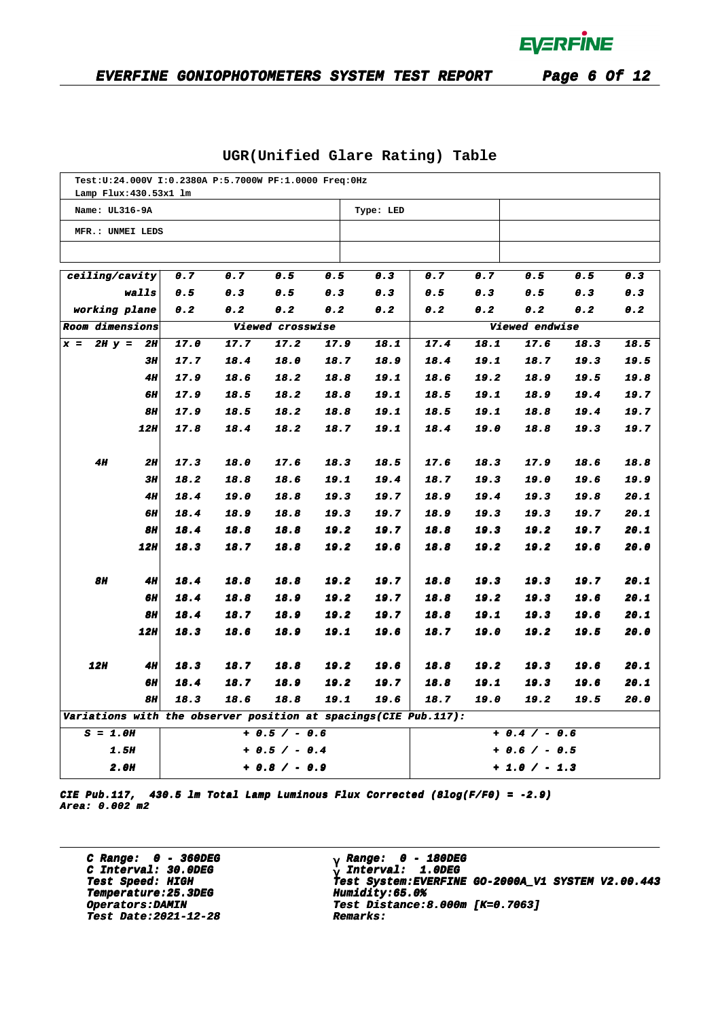| Test: U: 24.000V I: 0.2380A P: 5.7000W PF: 1.0000 Freq: 0Hz<br>Lamp Flux: 430.53x1 lm |                            |              |              |                  |              |               |                 |              |                |              |              |  |
|---------------------------------------------------------------------------------------|----------------------------|--------------|--------------|------------------|--------------|---------------|-----------------|--------------|----------------|--------------|--------------|--|
| Name: UL316-9A                                                                        |                            |              |              |                  |              | Type: LED     |                 |              |                |              |              |  |
|                                                                                       |                            |              |              |                  |              |               |                 |              |                |              |              |  |
| MFR.: UNMEI LEDS                                                                      |                            |              |              |                  |              |               |                 |              |                |              |              |  |
|                                                                                       |                            |              |              |                  |              |               |                 |              |                |              |              |  |
| ceiling/cavity                                                                        |                            | 0.7          | 0.7          | 0.5              | 0.5          | 0.3           | 0.7             | 0.7          | 0.5            | 0.5          | 0.3          |  |
|                                                                                       | 0.5<br>0.5<br>walls<br>0.3 |              |              |                  | 0.3          | 0.3           | 0.5             | 0.3          | 0.5            | 0.3          | 0.3          |  |
| working plane<br>0.2<br>0.2<br>0.2                                                    |                            |              |              |                  | 0.2          | 0.2           | 0.2             | 0.2          | 0.2            | 0.2          | 0.2          |  |
| Room dimensions                                                                       |                            |              |              | Viewed crosswise |              |               |                 |              | Viewed endwise |              |              |  |
| $2H y =$<br>$x =$                                                                     | 2H                         | 17.0         | 17.7         | 17.2             | 17.9         | 18.1          | 17.4            | 18.1         | 17.6           | 18.3         | 18.5         |  |
|                                                                                       | 3H                         | 17.7         | 18.4         | 18.0             | 18.7         | 18.9          | 18.4            | 19.1         | 18.7           | 19.3         | 19.5         |  |
|                                                                                       | 411                        | 17.9         | 18.6         | 18.2             | 18.8         | 19.1          | 18.6            | 19.2         | 18.9           | 19.5         | 19.8         |  |
|                                                                                       | 6Н                         | 17.9         | 18.5         | 18.2             | 18.8         | 19.1          | 18.5            | 19.1         | 18.9           | 19.4         | 19.7         |  |
|                                                                                       | 811                        | 17.9         | 18.5         | 18.2             | 18.8         | 19.1          | 18.5            | 19.1         | 18.8           | 19.4         | 19.7         |  |
|                                                                                       | 12H                        | 17.8         | 18.4         | 18.2             | 18.7         | 19.1          | 18.4            | 19.0         | 18.8           | 19.3         | 19.7         |  |
|                                                                                       |                            |              |              |                  |              |               |                 |              |                |              |              |  |
| 4H                                                                                    | 2H                         | 17.3         | 18.0         | 17.6             | 18.3         | 18.5          | 17.6            | 18.3         | 17.9           | 18.6         | 18.8         |  |
|                                                                                       | 3H                         | 18.2         | 18.8         | 18.6             | 19.1         | 19.4          | 18.7            | 19.3         | 19.0           | 19.6         | 19.9         |  |
|                                                                                       | 4H                         | 18.4         | 19.0         | 18.8             | 19.3         | 19.7          | 18.9            | 19.4         | 19.3           | 19.8         | 20.1         |  |
|                                                                                       | 6Н<br>8Н                   | 18.4<br>18.4 | 18.9         | 18.8             | 19.3         | 19.7          | 18.9            | 19.3         | 19.3           | 19.7         | 20.1<br>20.1 |  |
|                                                                                       | <b>12H</b>                 | 18.3         | 18.8<br>18.7 | 18.8<br>18.8     | 19.2<br>19.2 | 19.7<br>19.6  | 18.8<br>18.8    | 19.3<br>19.2 | 19.2<br>19.2   | 19.7<br>19.6 | 20.0         |  |
|                                                                                       |                            |              |              |                  |              |               |                 |              |                |              |              |  |
| 8H                                                                                    | 411                        | 18.4         | 18.8         | 18.8             | 19.2         | 19.7          | 18.8            | 19.3         | 19.3           | 19.7         | 20.1         |  |
|                                                                                       | <b>6H</b>                  | 18.4         | 18.8         | 18.9             | 19.2         | 19.7          | 18.8            | 19.2         | 19.3           | 19.6         | 20.1         |  |
|                                                                                       | 8H                         | 18.4         | 18.7         | 18.9             | 19.2         | 19.7          | 18.8            | 19.1         | 19.3           | 19.6         | 20.1         |  |
|                                                                                       | 12H                        | 18.3         | 18.6         | 18.9             | 19.1         | 19.6          | 18.7            | 19.0         | 19.2           | 19.5         | 20.0         |  |
|                                                                                       |                            |              |              |                  |              |               |                 |              |                |              |              |  |
| 12H                                                                                   | 4H                         | 18.3         | 18.7         | 18.8             | 19.2         | 19.6          | 18.8            | 19.2         | 19.3           | 19.6         | 20.1         |  |
|                                                                                       | 6Н                         | 18.4         | 18.7         | 18.9             | 19.2         | 19.7          | 18.8            | 19.1         | 19.3           | 19.6         | 20.1         |  |
|                                                                                       | <b>8H</b>                  | 18.3         | 18.6         | 18.8             | 19.1         | 19.6          | 18.7            | 19.0         | 19.2           | 19.5         | 20.0         |  |
| Variations with the observer position at spacings(CIE Pub.117):                       |                            |              |              |                  |              |               |                 |              |                |              |              |  |
| $S = 1.0H$                                                                            |                            |              |              | $+ 0.5 / - 0.6$  |              |               | $+ 0.4 / - 0.6$ |              |                |              |              |  |
| <b>1.5H</b><br>$+ 0.5 / - 0.4$                                                        |                            |              |              |                  |              | + 0.6 / - 0.5 |                 |              |                |              |              |  |
| <b>2.0H</b><br>$+ 0.8 / - 0.9$                                                        |                            |              |              |                  |              | $+1.0 / -1.3$ |                 |              |                |              |              |  |

### **UGR(Unified Glare Rating) Table**

**CIE Pub.117, 430.5 lm Total Lamp Luminous Flux Corrected (8log(F/F0) = -2.9) Area: 0.002 m2**

**C Range: 0 - 360DEG C Interval: 30.0DEG Temperature:25.3DEG Humidity:65.0% Temperature:25.3DEG Humidity:65.0% Test Date:2021-12-28 Remarks: Date:2021-12-28 Remarks:**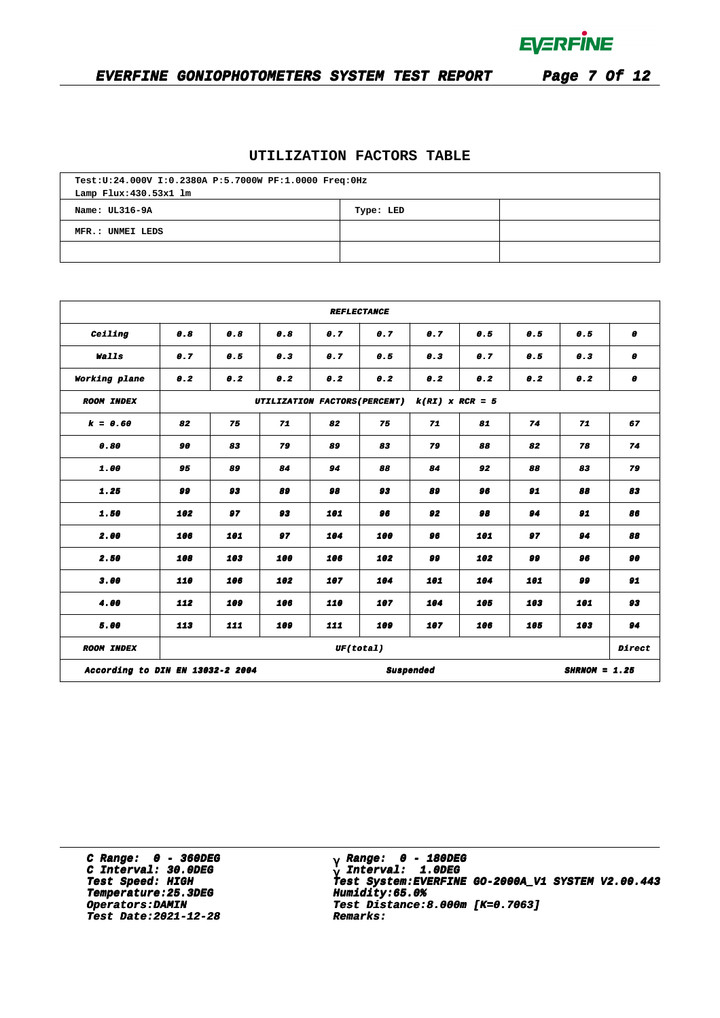

## **EVERFINE GONIOPHOTOMETERS SYSTEM TEST REPORT Page 7 Of 12**

### **UTILIZATION FACTORS TABLE**

| Test:U:24.000V I:0.2380A P:5.7000W PF:1.0000 Freq:0Hz |  |  |  |  |  |  |  |  |  |
|-------------------------------------------------------|--|--|--|--|--|--|--|--|--|
| Lamp Flux: 430.53x1 lm                                |  |  |  |  |  |  |  |  |  |
| Name: UL316-9A<br>Type: LED                           |  |  |  |  |  |  |  |  |  |
| MFR.: UNMEI LEDS                                      |  |  |  |  |  |  |  |  |  |
|                                                       |  |  |  |  |  |  |  |  |  |

| <b>REFLECTANCE</b>               |                                                    |     |          |           |           |                  |          |            |                 |        |  |  |
|----------------------------------|----------------------------------------------------|-----|----------|-----------|-----------|------------------|----------|------------|-----------------|--------|--|--|
| Ceiling                          | 0.8                                                | 0.8 | 0.8      | 0.7       | 0.7       | 0.7              |          | 0.5<br>0.5 |                 | 0      |  |  |
| Walls                            | 0.7                                                | 0.5 | 0.3      | 0.7       | 0.5       | 0.3<br>0.7       |          | 0.5        | 0.3             | 0      |  |  |
| Working plane                    | 0.2                                                | 0.2 | 0.2      | 0.2       | 0.2       | 0.2              | 0.2      | 0.2        | 0.2             | 0      |  |  |
| <b>ROOM INDEX</b>                | UTILIZATION FACTORS (PERCENT)<br>$k(RI)$ x RCR = 5 |     |          |           |           |                  |          |            |                 |        |  |  |
| $k = 0.60$                       | 82                                                 | 75  | 71       | 82        | 75        | 71               | 81       | 74         | 71              | 67     |  |  |
| 0.80                             | 90                                                 | 83  | 79       | 89        | 83        | 79               | 88       | 82         | 78              | 74     |  |  |
| 1.00                             | 95<br>89                                           |     | 84       | 94        |           | 88<br>84         |          | 92<br>88   |                 | 79     |  |  |
| 1.25                             | 99<br>93                                           |     | 89<br>98 |           | 93<br>89  |                  | 96<br>91 |            | 88              | 83     |  |  |
| 1.50                             | 102                                                | 97  |          | 93<br>101 |           | 96<br>92         |          | 98<br>94   |                 | 86     |  |  |
| 2.00                             | 106                                                | 101 | 97       | 104       | 100       | 96               | 101      | 97         | 94              | 88     |  |  |
| 2.50                             | 108                                                | 103 | 100      | 106       | 102       | 99               | 102      | 99         | 96              | 90     |  |  |
| 3.00                             | 110                                                | 106 | 102      | 107       | 104       | 101              | 104      | 101        | 99              | 91     |  |  |
| 4.00                             | 112                                                | 109 | 106      | 110       | 107       | 104              | 105      | 103        | 101             | 93     |  |  |
| 5.00                             | 113                                                | 111 | 109      | 111       | 109       | 107              | 106      | 105        | 103             | 94     |  |  |
| <b>ROOM INDEX</b>                |                                                    |     |          |           | UF(total) |                  |          |            |                 | Direct |  |  |
| According to DIN EN 13032-2 2004 |                                                    |     |          |           |           | <b>Suspended</b> |          |            | $SHRNOM = 1.25$ |        |  |  |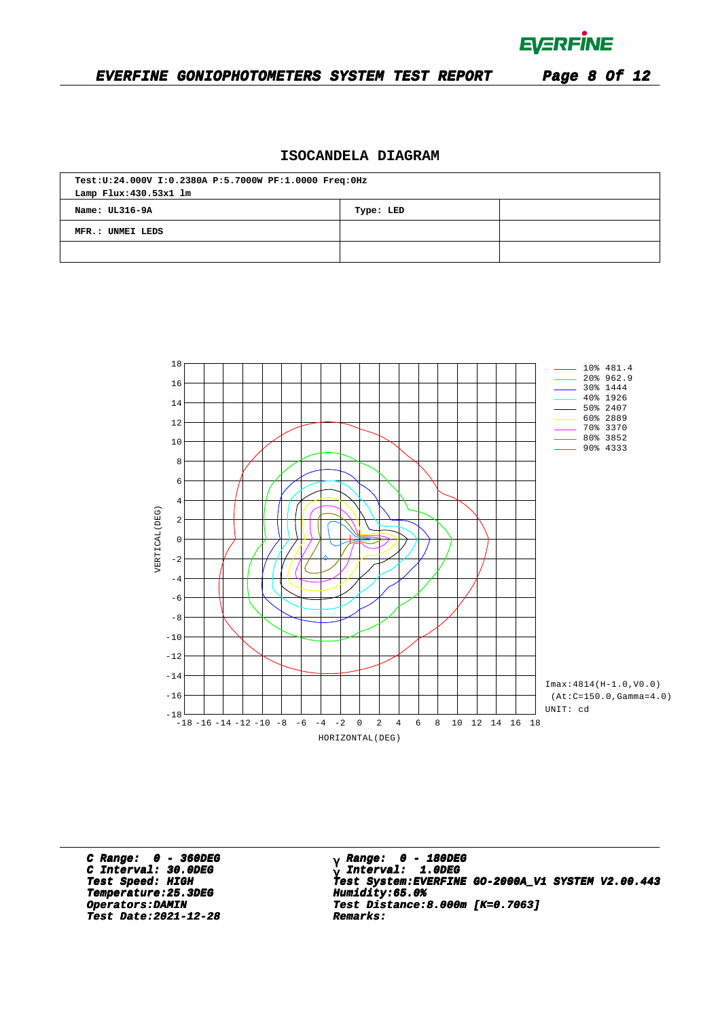**EVERFINE** 

#### **EVERFINE GONIOPHOTOMETERS SYSTEM TEST REPORT Page 8 Of 12**

### **ISOCANDELA DIAGRAM**

| Test:U:24.000V I:0.2380A P:5.7000W PF:1.0000 Freq:0Hz<br>Lamp Flux: 430.53x1 lm |  |  |  |  |  |  |  |  |
|---------------------------------------------------------------------------------|--|--|--|--|--|--|--|--|
| Name: UL316-9A<br>Type: LED                                                     |  |  |  |  |  |  |  |  |
| MFR.: UNMEI LEDS                                                                |  |  |  |  |  |  |  |  |
|                                                                                 |  |  |  |  |  |  |  |  |



**C Range: 0 - 360DEG C Interval: 30.0DEG Temperature:25.3DEG Humidity:65.0%**<br> **Operators:DAMIN Test Distance:8 Test Date:2021-12-28 Remarks: Date:2021-12-28 Remarks:**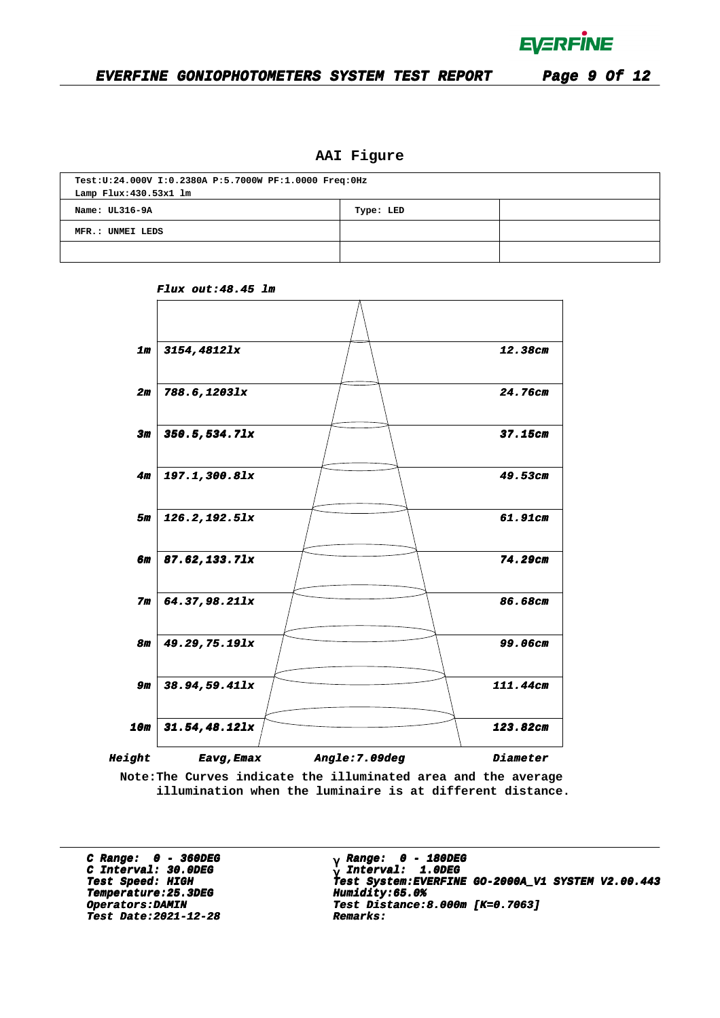

### **AAI Figure**

| Test:U:24.000V I:0.2380A P:5.7000W PF:1.0000 Freq:0Hz |  |  |  |  |  |  |  |  |  |
|-------------------------------------------------------|--|--|--|--|--|--|--|--|--|
| Lamp Flux: 430.53x1 lm                                |  |  |  |  |  |  |  |  |  |
| Name: UL316-9A<br>Type: LED                           |  |  |  |  |  |  |  |  |  |
| MFR.: UNMEI LEDS                                      |  |  |  |  |  |  |  |  |  |
|                                                       |  |  |  |  |  |  |  |  |  |



**Flux out:48.45 lm**

**Note:The Curves indicate the illuminated area and the average illumination when the luminaire is at different distance.**

**C Range: 0 - 360DEG C Interval: 30.0DEG Temperature:25.3DEG Humidity:65.0% Temperature:25.3DEG Humidity:65.0% Test Date:2021-12-28 Remarks: Date:2021-12-28 Remarks:**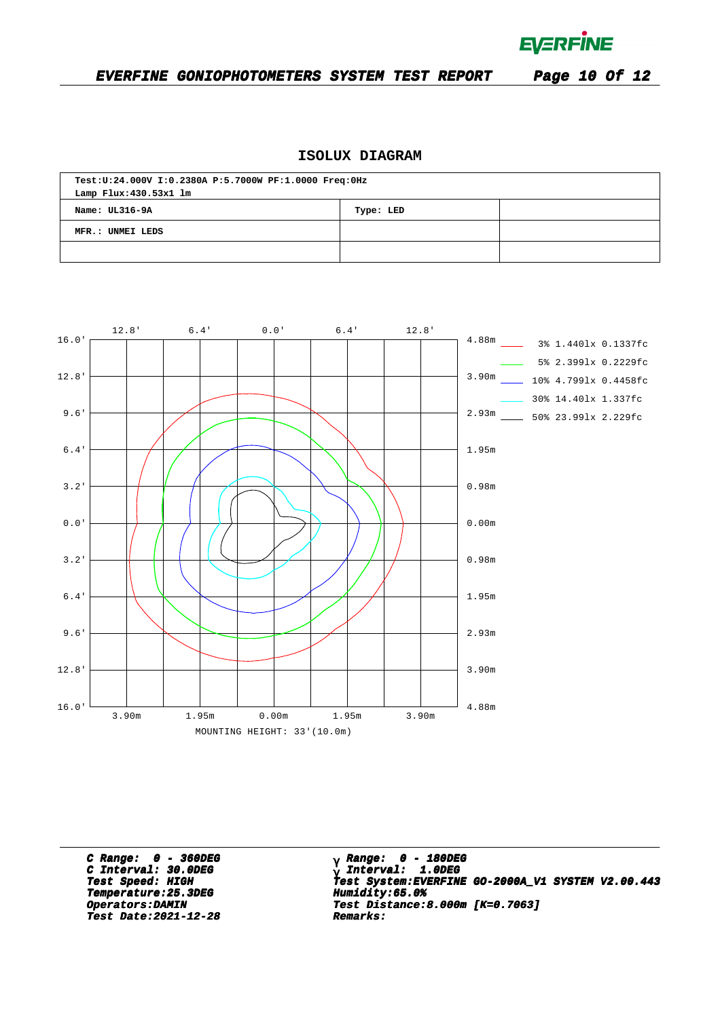**EVERFINE** 

### **EVERFINE GONIOPHOTOMETERS SYSTEM TEST REPORT Page 10 Of 12**

### **ISOLUX DIAGRAM**

| Test:U:24.000V I:0.2380A P:5.7000W PF:1.0000 Freq:0Hz |  |  |  |  |  |  |  |  |  |
|-------------------------------------------------------|--|--|--|--|--|--|--|--|--|
| Lamp Flux: 430.53x1 lm                                |  |  |  |  |  |  |  |  |  |
| Name: $UL316-9A$<br>Type: LED                         |  |  |  |  |  |  |  |  |  |
| MFR.: UNMEI LEDS                                      |  |  |  |  |  |  |  |  |  |
|                                                       |  |  |  |  |  |  |  |  |  |



**C Range: 0 - 360DEG C Interval: 30.0DEG Temperature:25.3DEG Humidity:65.0% Temperature:25.3DEG Humidity:65.0% Test Date:2021-12-28 Remarks: Date:2021-12-28 Remarks:**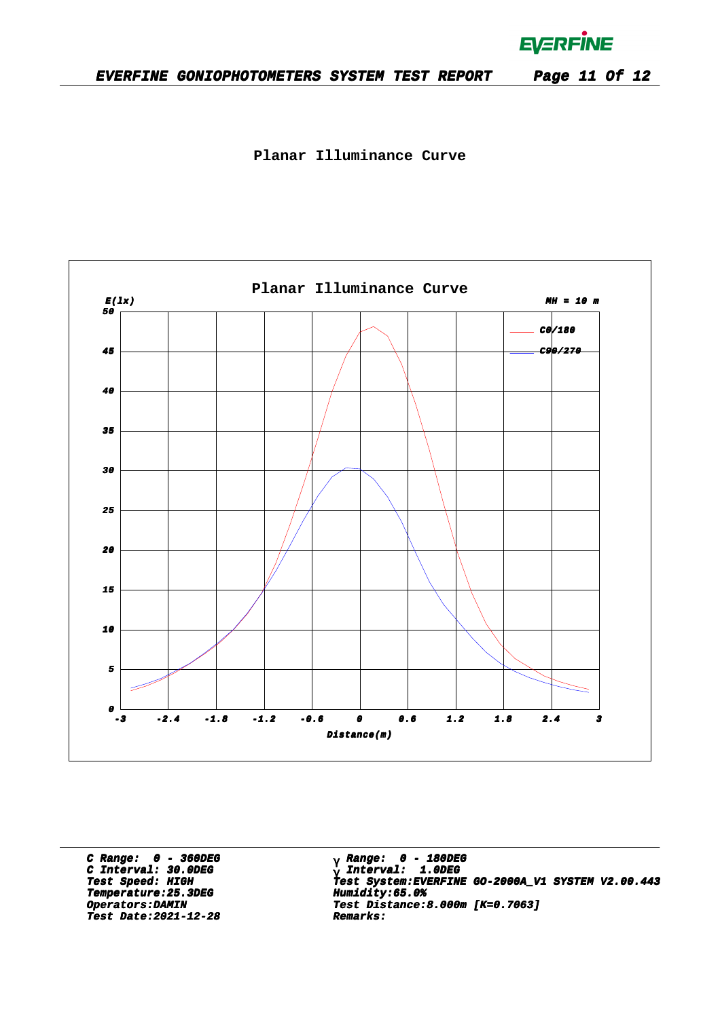**EVERFINE** 

**Planar Illuminance Curve**



**C Range: 0 - 360DEG C Interval: 30.0DEG Temperature:25.3DEG Humidity:65.0% Temperature:25.3DEG Humidity:65.0% Test Date:2021-12-28 Remarks: Date:2021-12-28 Remarks:**